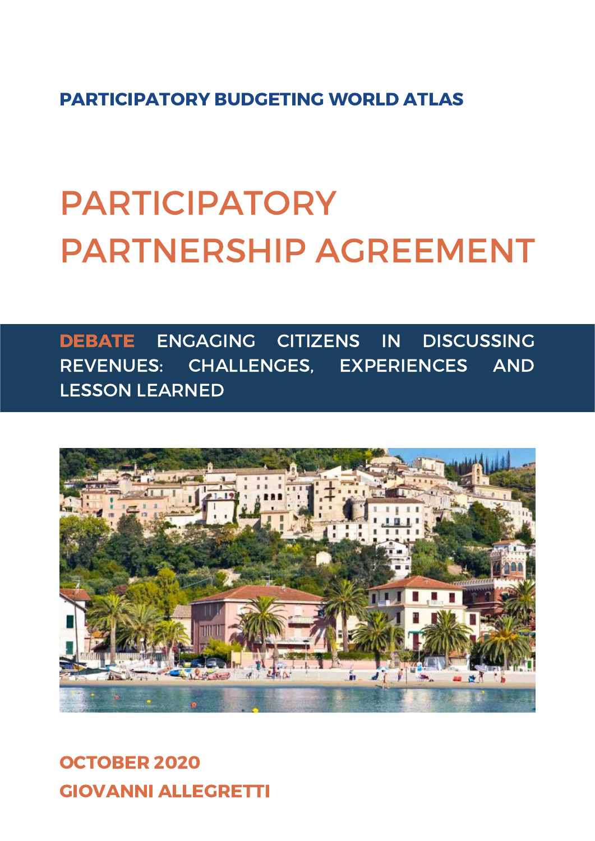PARTICIPATORY BUDGETING WORLD ATLAS

# PARTICIPATORY PARTNERSHIP AGREEMENT

DEBATE ENGAGING CITIZENS IN DISCUSSING REVENUES: CHALLENGES, EXPERIENCES AND LESSON LEARNED



GIOVANNI ALLEGRETTI OCTOBER 2020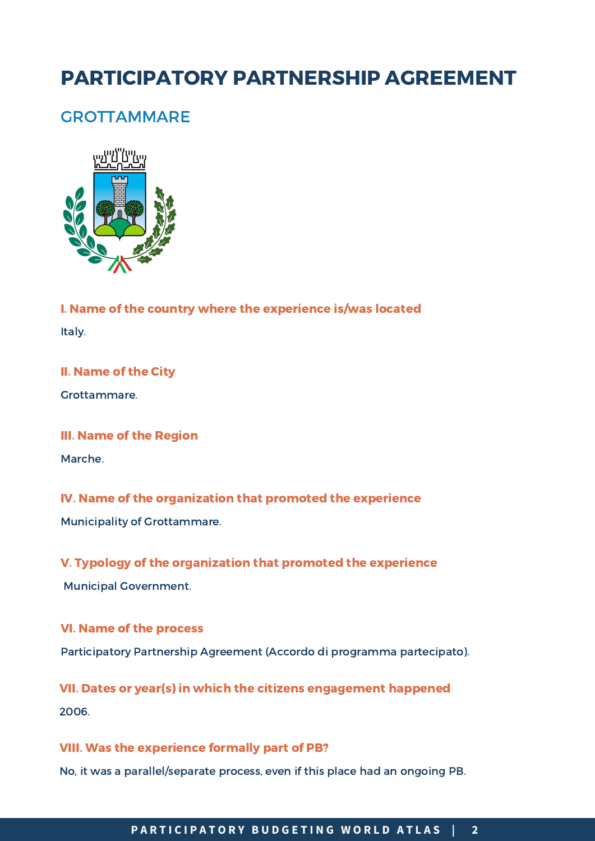# PARTICIPATORY PARTNERSHIP AGREEMENT

# **GROTTAMMARE**



I. Name of the country where the experience is/was located Italy.

# II. Name of the City

Grottammare.

### III. Name of the Region

Marche.

# IV. Name of the organization that promoted the experience

Municipality of Grottammare.

# V. Typology of the organization that promoted the experience

Municipal Government.

# VI. Name of the process Participatory Partnership Agreement (Accordo di programma partecipato).

VII. Dates or year(s) in which the citizens engagement happened 2006.

# VIII. Was the experience formally part of PB?

No, it was a parallel/separate process, even if this place had an ongoing PB.

#### **P Á G I N A 2 / 4** PARTICIPATORY BUDGETING WORLD ATLAS | 2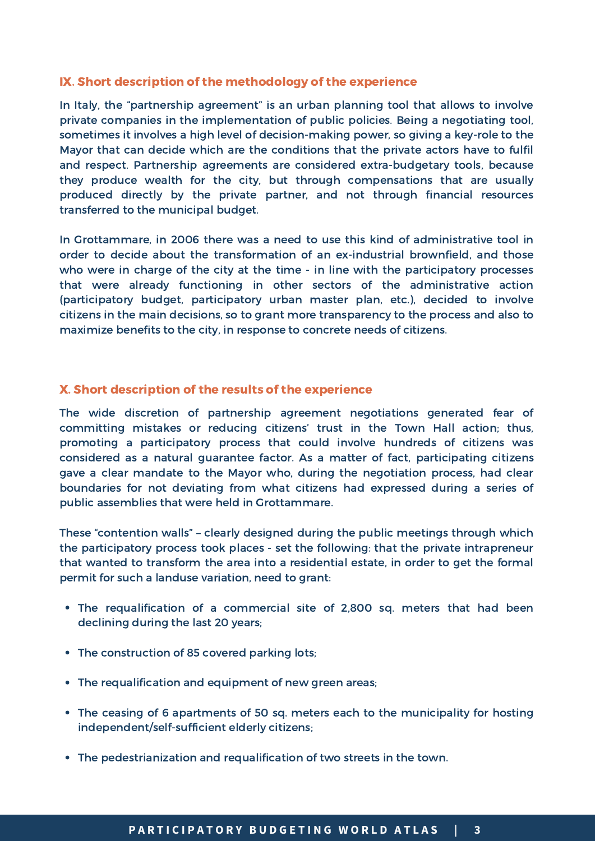# IX. Short description of the methodology of the experience

In Italy, the "partnership agreement" is an urban planning tool that allows to involve private companies in the implementation of public policies. Being a negotiating tool, sometimes it involves a high level of decision-making power, so giving a key-role to the Mayor that can decide which are the conditions that the private actors have to fulfil and respect. Partnership agreements are considered extra-budgetary tools, because they produce wealth for the city, but through compensations that are usually produced directly by the private partner, and not through financial resources transferred to the municipal budget.

In Grottammare, in 2006 there was a need to use this kind of administrative tool in order to decide about the transformation of an ex-industrial brownfield, and those who were in charge of the city at the time - in line with the participatory processes that were already functioning in other sectors of the administrative action (participatory budget, participatory urban master plan, etc.), decided to involve citizens in the main decisions, so to grant more transparency to the process and also to maximize benefits to the city, in response to concrete needs of citizens.

# X. Short description of the results of the experience

The wide discretion of partnership agreement negotiations generated fear of committing mistakes or reducing citizens' trust in the Town Hall action; thus, promoting a participatory process that could involve hundreds of citizens was considered as a natural guarantee factor. As a matter of fact, participating citizens gave a clear mandate to the Mayor who, during the negotiation process, had clear boundaries for not deviating from what citizens had expressed during a series of public assemblies that were held in Grottammare.

These "contention walls" – clearly designed during the public meetings through which the participatory process took places - set the following: that the private intrapreneur that wanted to transform the area into a residential estate, in order to get the formal permit for such a landuse variation, need to grant:

- The requalification of a commercial site of 2,800 sq. meters that had been declining during the last 20 years;
- The construction of 85 covered parking lots;
- The requalification and equipment of new green areas;
- The ceasing of 6 apartments of 50 sq. meters each to the municipality for hosting independent/self-sufficient elderly citizens;
- The pedestrianization and requalification of two streets in the town.

### PARTICIPATORY BUDGETING WORLD ATLAS | 3